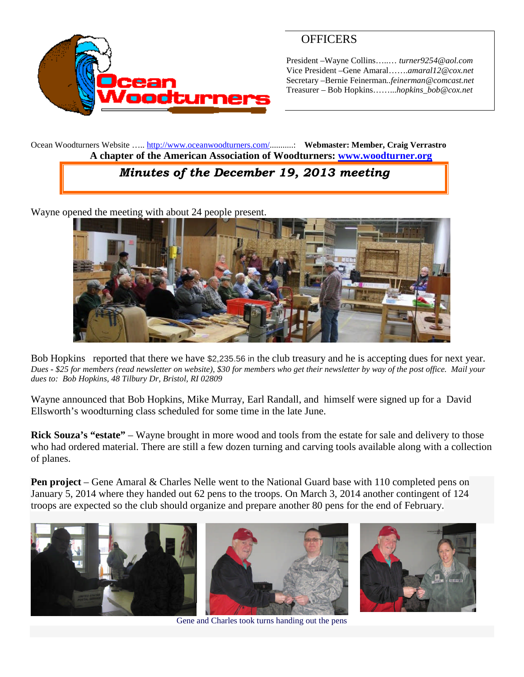

## **OFFICERS**

President –Wayne Collins…..… *turner9254@aol.com* Vice President –Gene Amaral…….*amaral12@cox.net* Secretary –Bernie Feinerman*..feinerman@comcast.net* Treasurer – Bob Hopkins……...*hopkins\_bob@cox.net*

Ocean Woodturners Website ….. <http://www.oceanwoodturners.com/>...........: **Webmaster: Member, Craig Verrastro A chapter of the American Association of Woodturners: [www.woodturner.org](http://www.woodturner.org/)**

# *Minutes of the December 19, 2013 meeting*

Wayne opened the meeting with about 24 people present.



Bob Hopkins reported that there we have \$2,235.56 in the club treasury and he is accepting dues for next year. *Dues - \$25 for members (read newsletter on website), \$30 for members who get their newsletter by way of the post office. Mail your dues to: Bob Hopkins, 48 Tilbury Dr, Bristol, RI 02809*

Wayne announced that Bob Hopkins, Mike Murray, Earl Randall, and himself were signed up for a David Ellsworth's woodturning class scheduled for some time in the late June.

**Rick Souza's "estate"** – Wayne brought in more wood and tools from the estate for sale and delivery to those who had ordered material. There are still a few dozen turning and carving tools available along with a collection of planes.

**Pen project** – Gene Amaral & Charles Nelle went to the National Guard base with 110 completed pens on January 5, 2014 where they handed out 62 pens to the troops. On March 3, 2014 another contingent of 124 troops are expected so the club should organize and prepare another 80 pens for the end of February.



Gene and Charles took turns handing out the pens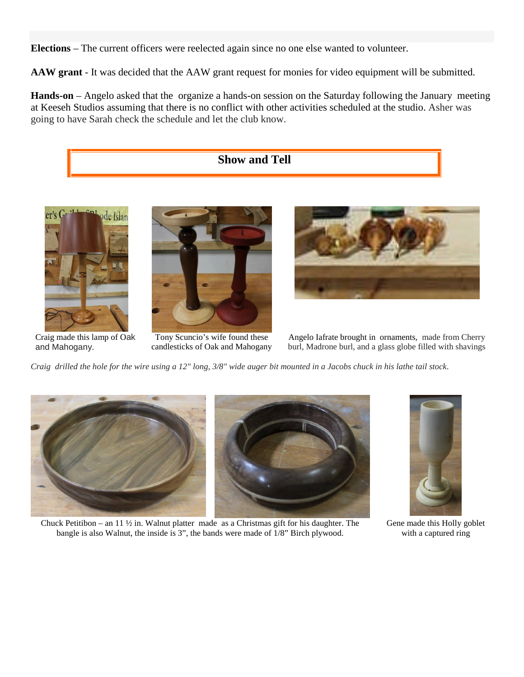**Elections** – The current officers were reelected again since no one else wanted to volunteer.

**AAW grant** - It was decided that the AAW grant request for monies for video equipment will be submitted.

**Hands-on** – Angelo asked that the organize a hands-on session on the Saturday following the January meeting at Keeseh Studios assuming that there is no conflict with other activities scheduled at the studio. Asher was going to have Sarah check the schedule and let the club know.





Craig made this lamp of Oak and Mahogany.

Tony Scuncio's wife found these candlesticks of Oak and Mahogany

Angelo Iafrate brought in ornaments, made from Cherry burl, Madrone burl, and a glass globe filled with shavings

*Craig drilled the hole for the wire using a 12" long, 3/8" wide auger bit mounted in a Jacobs chuck in his lathe tail stock*.



Chuck Petitibon – an 11  $\frac{1}{2}$  in. Walnut platter made as a Christmas gift for his daughter. The bangle is also Walnut, the inside is 3", the bands were made of 1/8" Birch plywood.



Gene made this Holly goblet with a captured ring